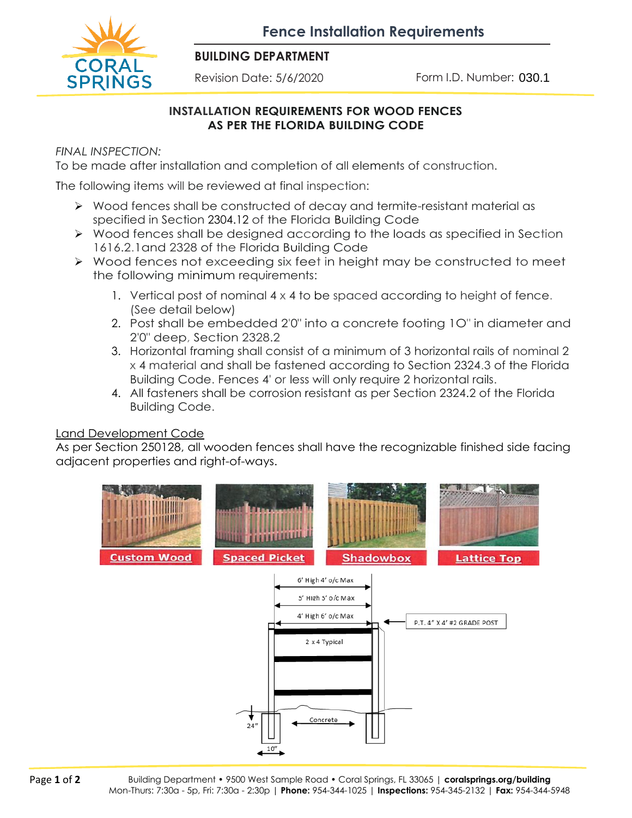**Fence Installation Requirements**



#### **BUILDING DEPARTMENT**

Revision Date: 5/6/2020

Form I.D. Number: 030.1

#### **INSTALLATION REQUIREMENTS FOR WOOD FENCES AS PER THE FLORIDA BUILDING CODE**

*FINAL INSPECTION:*

To be made after installation and completion of all elements of construction.

The following items will be reviewed at final inspection:

- ➢ Wood fences shall be constructed of decay and termite-resistant material as specified in Section 2304.12 of the Florida Building Code
- ➢ Wood fences shall be designed according to the loads as specified in Section 1616.2.1and 2328 of the Florida Building Code
- ➢ Wood fences not exceeding six feet in height may be constructed to meet the following minimum requirements:
	- 1. Vertical post of nominal 4 x 4 to be spaced according to height of fence. (See detail below)
	- 2. Post shall be embedded 2'0" into a concrete footing 1O" in diameter and 2'0" deep, Section 2328.2
	- 3. Horizontal framing shall consist of a minimum of 3 horizontal rails of nominal 2 x 4 material and shall be fastened according to Section 2324.3 of the Florida Building Code. Fences 4' or less will only require 2 horizontal rails.
	- 4. All fasteners shall be corrosion resistant as per Section 2324.2 of the Florida Building Code.

# Land Development Code

As per Section 250128, all wooden fences shall have the recognizable finished side facing adjacent properties and right-of-ways.